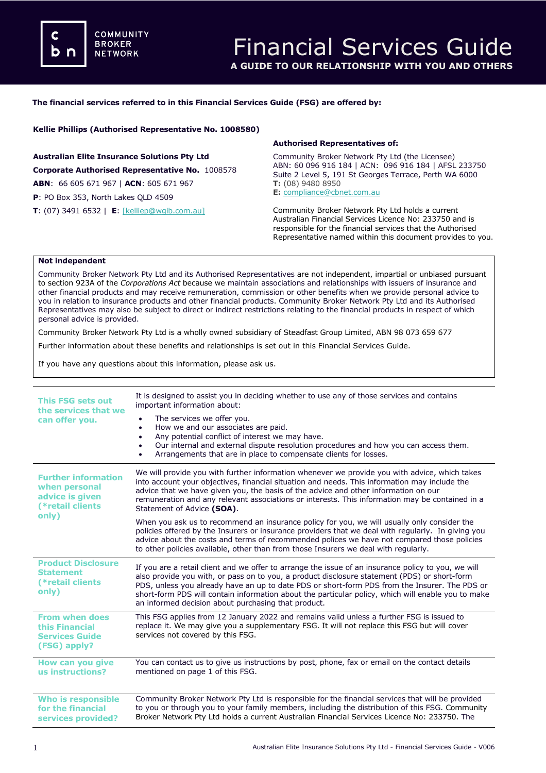## **The financial services referred to in this Financial Services Guide (FSG) are offered by:**

**Kellie Phillips (Authorised Representative No. 1008580)**

**Australian Elite Insurance Solutions Pty Ltd Corporate Authorised Representative No.** 1008578 **ABN**: 66 605 671 967 | **ACN**: 605 671 967 **P**: PO Box 353, North Lakes QLD 4509

**T**: (07) 3491 6532 | **E**: [\[kelliep@wgib.com.au\]](mailto:meena@dataprivacyinsurance.com.au)

## **Authorised Representatives of:**

Community Broker Network Pty Ltd (the Licensee) ABN: 60 096 916 184 | ACN: 096 916 184 | AFSL 233750 Suite 2 Level 5, 191 St Georges Terrace, Perth WA 6000 **T:** (08) 9480 8950 **E:** [compliance@cbnet.com.au](mailto:queries@naswg.com.au) 

Community Broker Network Pty Ltd holds a current Australian Financial Services Licence No: 233750 and is responsible for the financial services that the Authorised Representative named within this document provides to you.

## **Not independent**

Community Broker Network Pty Ltd and its Authorised Representatives are not independent, impartial or unbiased pursuant to section 923A of the *Corporations Act* because we maintain associations and relationships with issuers of insurance and other financial products and may receive remuneration, commission or other benefits when we provide personal advice to you in relation to insurance products and other financial products. Community Broker Network Pty Ltd and its Authorised Representatives may also be subject to direct or indirect restrictions relating to the financial products in respect of which personal advice is provided.

Community Broker Network Pty Ltd is a wholly owned subsidiary of Steadfast Group Limited, ABN 98 073 659 677

Further information about these benefits and relationships is set out in this Financial Services Guide.

If you have any questions about this information, please ask us.

| <b>This FSG sets out</b><br>the services that we<br>can offer you.                          | It is designed to assist you in deciding whether to use any of those services and contains<br>important information about:<br>The services we offer you.<br>How we and our associates are paid.<br>٠<br>Any potential conflict of interest we may have.<br>$\bullet$<br>Our internal and external dispute resolution procedures and how you can access them.<br>٠<br>Arrangements that are in place to compensate clients for losses.<br>$\bullet$                |
|---------------------------------------------------------------------------------------------|-------------------------------------------------------------------------------------------------------------------------------------------------------------------------------------------------------------------------------------------------------------------------------------------------------------------------------------------------------------------------------------------------------------------------------------------------------------------|
| <b>Further information</b><br>when personal<br>advice is given<br>(*retail clients<br>only) | We will provide you with further information whenever we provide you with advice, which takes<br>into account your objectives, financial situation and needs. This information may include the<br>advice that we have given you, the basis of the advice and other information on our<br>remuneration and any relevant associations or interests. This information may be contained in a<br>Statement of Advice (SOA).                                            |
|                                                                                             | When you ask us to recommend an insurance policy for you, we will usually only consider the<br>policies offered by the Insurers or insurance providers that we deal with regularly. In giving you<br>advice about the costs and terms of recommended polices we have not compared those policies<br>to other policies available, other than from those Insurers we deal with regularly.                                                                           |
| <b>Product Disclosure</b><br><b>Statement</b><br>(*retail clients<br>only)                  | If you are a retail client and we offer to arrange the issue of an insurance policy to you, we will<br>also provide you with, or pass on to you, a product disclosure statement (PDS) or short-form<br>PDS, unless you already have an up to date PDS or short-form PDS from the Insurer. The PDS or<br>short-form PDS will contain information about the particular policy, which will enable you to make<br>an informed decision about purchasing that product. |
| <b>From when does</b><br>this Financial<br><b>Services Guide</b><br>(FSG) apply?            | This FSG applies from 12 January 2022 and remains valid unless a further FSG is issued to<br>replace it. We may give you a supplementary FSG. It will not replace this FSG but will cover<br>services not covered by this FSG.                                                                                                                                                                                                                                    |
| How can you give<br>us instructions?                                                        | You can contact us to give us instructions by post, phone, fax or email on the contact details<br>mentioned on page 1 of this FSG.                                                                                                                                                                                                                                                                                                                                |
| <b>Who is responsible</b><br>for the financial<br>services provided?                        | Community Broker Network Pty Ltd is responsible for the financial services that will be provided<br>to you or through you to your family members, including the distribution of this FSG. Community<br>Broker Network Pty Ltd holds a current Australian Financial Services Licence No: 233750. The                                                                                                                                                               |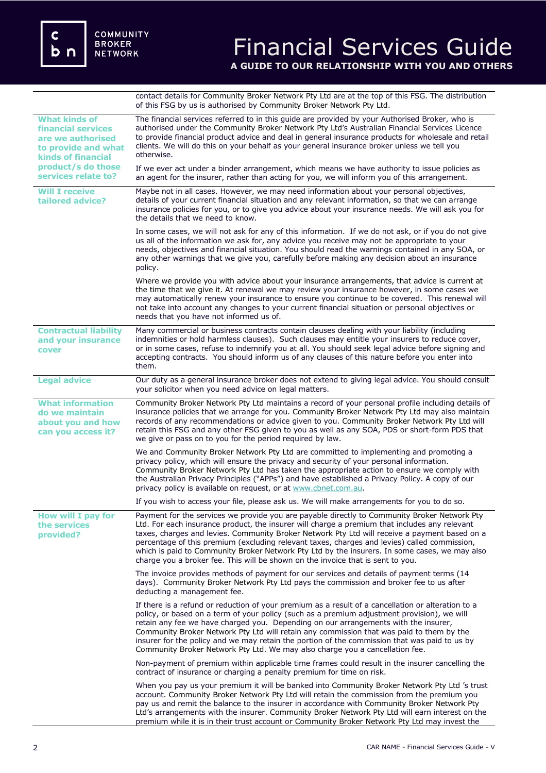$\mathbf c$  **n** 

contact details for Community Broker Network Pty Ltd are at the top of this FSG. The distribution of this FSG by us is authorised by Community Broker Network Pty Ltd.

| <b>What kinds of</b><br><b>financial services</b><br>are we authorised<br>to provide and what<br><b>kinds of financial</b> | The financial services referred to in this quide are provided by your Authorised Broker, who is<br>authorised under the Community Broker Network Pty Ltd's Australian Financial Services Licence<br>to provide financial product advice and deal in general insurance products for wholesale and retail<br>clients. We will do this on your behalf as your general insurance broker unless we tell you<br>otherwise.                                                                                                                                                               |
|----------------------------------------------------------------------------------------------------------------------------|------------------------------------------------------------------------------------------------------------------------------------------------------------------------------------------------------------------------------------------------------------------------------------------------------------------------------------------------------------------------------------------------------------------------------------------------------------------------------------------------------------------------------------------------------------------------------------|
| product/s do those<br>services relate to?                                                                                  | If we ever act under a binder arrangement, which means we have authority to issue policies as<br>an agent for the insurer, rather than acting for you, we will inform you of this arrangement.                                                                                                                                                                                                                                                                                                                                                                                     |
| <b>Will I receive</b><br>tailored advice?                                                                                  | Maybe not in all cases. However, we may need information about your personal objectives,<br>details of your current financial situation and any relevant information, so that we can arrange<br>insurance policies for you, or to give you advice about your insurance needs. We will ask you for<br>the details that we need to know.                                                                                                                                                                                                                                             |
|                                                                                                                            | In some cases, we will not ask for any of this information. If we do not ask, or if you do not give<br>us all of the information we ask for, any advice you receive may not be appropriate to your<br>needs, objectives and financial situation. You should read the warnings contained in any SOA, or<br>any other warnings that we give you, carefully before making any decision about an insurance<br>policy.                                                                                                                                                                  |
|                                                                                                                            | Where we provide you with advice about your insurance arrangements, that advice is current at<br>the time that we give it. At renewal we may review your insurance however, in some cases we<br>may automatically renew your insurance to ensure you continue to be covered. This renewal will<br>not take into account any changes to your current financial situation or personal objectives or<br>needs that you have not informed us of.                                                                                                                                       |
| <b>Contractual liability</b><br>and your insurance<br>cover                                                                | Many commercial or business contracts contain clauses dealing with your liability (including<br>indemnities or hold harmless clauses). Such clauses may entitle your insurers to reduce cover,<br>or in some cases, refuse to indemnify you at all. You should seek legal advice before signing and<br>accepting contracts. You should inform us of any clauses of this nature before you enter into<br>them.                                                                                                                                                                      |
| <b>Legal advice</b>                                                                                                        | Our duty as a general insurance broker does not extend to giving legal advice. You should consult<br>your solicitor when you need advice on legal matters.                                                                                                                                                                                                                                                                                                                                                                                                                         |
| <b>What information</b><br>do we maintain<br>about you and how<br>can you access it?                                       | Community Broker Network Pty Ltd maintains a record of your personal profile including details of<br>insurance policies that we arrange for you. Community Broker Network Pty Ltd may also maintain<br>records of any recommendations or advice given to you. Community Broker Network Pty Ltd will<br>retain this FSG and any other FSG given to you as well as any SOA, PDS or short-form PDS that<br>we give or pass on to you for the period required by law.                                                                                                                  |
|                                                                                                                            | We and Community Broker Network Pty Ltd are committed to implementing and promoting a<br>privacy policy, which will ensure the privacy and security of your personal information.<br>Community Broker Network Pty Ltd has taken the appropriate action to ensure we comply with<br>the Australian Privacy Principles ("APPs") and have established a Privacy Policy. A copy of our<br>privacy policy is available on request, or at www.cbnet.com.au.                                                                                                                              |
|                                                                                                                            | If you wish to access your file, please ask us. We will make arrangements for you to do so.                                                                                                                                                                                                                                                                                                                                                                                                                                                                                        |
| How will I pay for<br>the services<br>provided?                                                                            | Payment for the services we provide you are payable directly to Community Broker Network Pty<br>Ltd. For each insurance product, the insurer will charge a premium that includes any relevant<br>taxes, charges and levies. Community Broker Network Pty Ltd will receive a payment based on a<br>percentage of this premium (excluding relevant taxes, charges and levies) called commission,<br>which is paid to Community Broker Network Pty Ltd by the insurers. In some cases, we may also<br>charge you a broker fee. This will be shown on the invoice that is sent to you. |
|                                                                                                                            | The invoice provides methods of payment for our services and details of payment terms (14<br>days). Community Broker Network Pty Ltd pays the commission and broker fee to us after<br>deducting a management fee.                                                                                                                                                                                                                                                                                                                                                                 |
|                                                                                                                            | If there is a refund or reduction of your premium as a result of a cancellation or alteration to a<br>policy, or based on a term of your policy (such as a premium adjustment provision), we will<br>retain any fee we have charged you. Depending on our arrangements with the insurer,<br>Community Broker Network Pty Ltd will retain any commission that was paid to them by the<br>insurer for the policy and we may retain the portion of the commission that was paid to us by<br>Community Broker Network Pty Ltd. We may also charge you a cancellation fee.              |
|                                                                                                                            | Non-payment of premium within applicable time frames could result in the insurer cancelling the<br>contract of insurance or charging a penalty premium for time on risk.                                                                                                                                                                                                                                                                                                                                                                                                           |
|                                                                                                                            | When you pay us your premium it will be banked into Community Broker Network Pty Ltd 's trust<br>account. Community Broker Network Pty Ltd will retain the commission from the premium you<br>pay us and remit the balance to the insurer in accordance with Community Broker Network Pty<br>Ltd's arrangements with the insurer. Community Broker Network Pty Ltd will earn interest on the<br>premium while it is in their trust account or Community Broker Network Pty Ltd may invest the                                                                                      |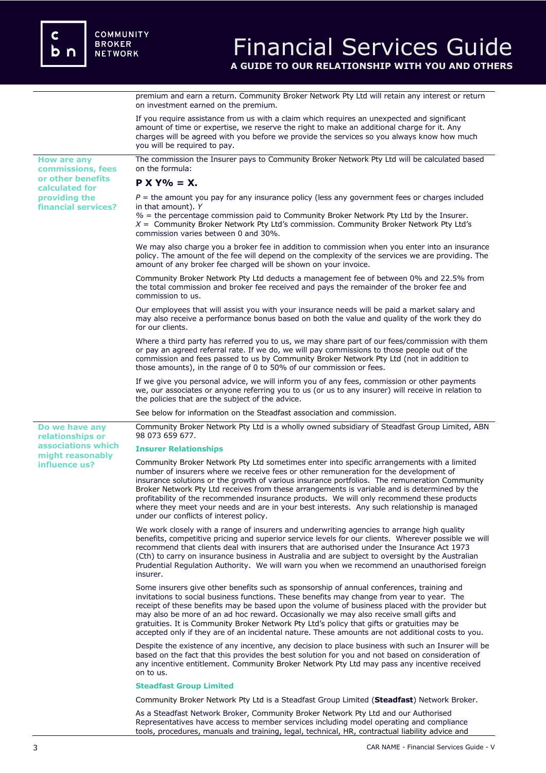premium and earn a return. Community Broker Network Pty Ltd will retain any interest or return on investment earned on the premium.

If you require assistance from us with a claim which requires an unexpected and significant amount of time or expertise, we reserve the right to make an additional charge for it. Any charges will be agreed with you before we provide the services so you always know how much you will be required to pay. **How are any commissions, fees or other benefits calculated for providing the financial services?** The commission the Insurer pays to Community Broker Network Pty Ltd will be calculated based on the formula: **P X Y% = X.**  $P =$  the amount you pay for any insurance policy (less any government fees or charges included in that amount). *Y %* = the percentage commission paid to Community Broker Network Pty Ltd by the Insurer. *X* = Community Broker Network Pty Ltd's commission. Community Broker Network Pty Ltd's commission varies between 0 and 30%. We may also charge you a broker fee in addition to commission when you enter into an insurance policy. The amount of the fee will depend on the complexity of the services we are providing. The amount of any broker fee charged will be shown on your invoice. Community Broker Network Pty Ltd deducts a management fee of between 0% and 22.5% from the total commission and broker fee received and pays the remainder of the broker fee and commission to us. Our employees that will assist you with your insurance needs will be paid a market salary and may also receive a performance bonus based on both the value and quality of the work they do for our clients. Where a third party has referred you to us, we may share part of our fees/commission with them or pay an agreed referral rate. If we do, we will pay commissions to those people out of the commission and fees passed to us by Community Broker Network Pty Ltd (not in addition to those amounts), in the range of 0 to 50% of our commission or fees. If we give you personal advice, we will inform you of any fees, commission or other payments we, our associates or anyone referring you to us (or us to any insurer) will receive in relation to the policies that are the subject of the advice. See below for information on the Steadfast association and commission. **Do we have any relationships or associations which might reasonably influence us?**  Community Broker Network Pty Ltd is a wholly owned subsidiary of Steadfast Group Limited, ABN 98 073 659 677. **Insurer Relationships**  Community Broker Network Pty Ltd sometimes enter into specific arrangements with a limited number of insurers where we receive fees or other remuneration for the development of insurance solutions or the growth of various insurance portfolios. The remuneration Community Broker Network Pty Ltd receives from these arrangements is variable and is determined by the profitability of the recommended insurance products. We will only recommend these products where they meet your needs and are in your best interests. Any such relationship is managed under our conflicts of interest policy. We work closely with a range of insurers and underwriting agencies to arrange high quality benefits, competitive pricing and superior service levels for our clients. Wherever possible we will recommend that clients deal with insurers that are authorised under the Insurance Act 1973 (Cth) to carry on insurance business in Australia and are subject to oversight by the Australian Prudential Regulation Authority. We will warn you when we recommend an unauthorised foreign insurer. Some insurers give other benefits such as sponsorship of annual conferences, training and invitations to social business functions. These benefits may change from year to year. The receipt of these benefits may be based upon the volume of business placed with the provider but may also be more of an ad hoc reward. Occasionally we may also receive small gifts and gratuities. It is Community Broker Network Pty Ltd's policy that gifts or gratuities may be accepted only if they are of an incidental nature. These amounts are not additional costs to you. Despite the existence of any incentive, any decision to place business with such an Insurer will be based on the fact that this provides the best solution for you and not based on consideration of any incentive entitlement. Community Broker Network Pty Ltd may pass any incentive received on to us. **Steadfast Group Limited** Community Broker Network Pty Ltd is a Steadfast Group Limited (**Steadfast**) Network Broker. As a Steadfast Network Broker, Community Broker Network Pty Ltd and our Authorised Representatives have access to member services including model operating and compliance

tools, procedures, manuals and training, legal, technical, HR, contractual liability advice and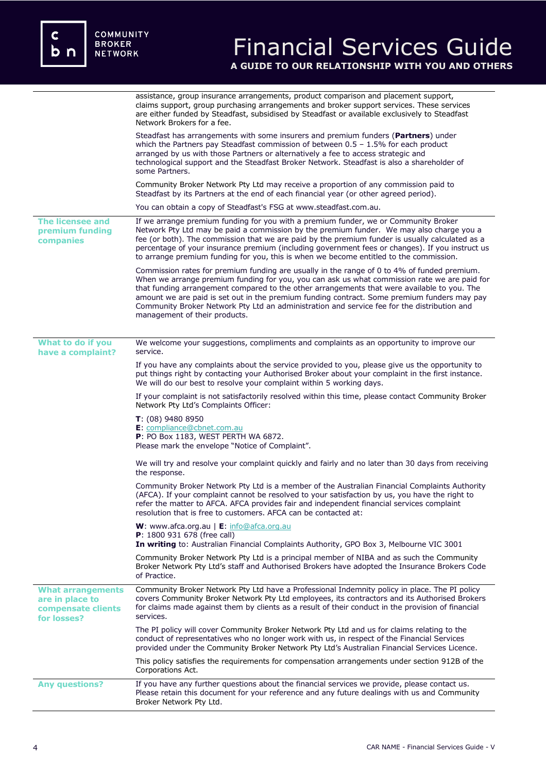|                                                                                  | assistance, group insurance arrangements, product comparison and placement support,<br>claims support, group purchasing arrangements and broker support services. These services<br>are either funded by Steadfast, subsidised by Steadfast or available exclusively to Steadfast<br>Network Brokers for a fee.                                                                                                                                                                                                           |
|----------------------------------------------------------------------------------|---------------------------------------------------------------------------------------------------------------------------------------------------------------------------------------------------------------------------------------------------------------------------------------------------------------------------------------------------------------------------------------------------------------------------------------------------------------------------------------------------------------------------|
|                                                                                  | Steadfast has arrangements with some insurers and premium funders (Partners) under<br>which the Partners pay Steadfast commission of between $0.5 - 1.5\%$ for each product<br>arranged by us with those Partners or alternatively a fee to access strategic and<br>technological support and the Steadfast Broker Network. Steadfast is also a shareholder of<br>some Partners.                                                                                                                                          |
|                                                                                  | Community Broker Network Pty Ltd may receive a proportion of any commission paid to<br>Steadfast by its Partners at the end of each financial year (or other agreed period).                                                                                                                                                                                                                                                                                                                                              |
|                                                                                  | You can obtain a copy of Steadfast's FSG at www.steadfast.com.au.                                                                                                                                                                                                                                                                                                                                                                                                                                                         |
| The licensee and<br>premium funding<br>companies                                 | If we arrange premium funding for you with a premium funder, we or Community Broker<br>Network Pty Ltd may be paid a commission by the premium funder. We may also charge you a<br>fee (or both). The commission that we are paid by the premium funder is usually calculated as a<br>percentage of your insurance premium (including government fees or changes). If you instruct us<br>to arrange premium funding for you, this is when we become entitled to the commission.                                           |
|                                                                                  | Commission rates for premium funding are usually in the range of 0 to 4% of funded premium.<br>When we arrange premium funding for you, you can ask us what commission rate we are paid for<br>that funding arrangement compared to the other arrangements that were available to you. The<br>amount we are paid is set out in the premium funding contract. Some premium funders may pay<br>Community Broker Network Pty Ltd an administration and service fee for the distribution and<br>management of their products. |
| What to do if you<br>have a complaint?                                           | We welcome your suggestions, compliments and complaints as an opportunity to improve our<br>service.                                                                                                                                                                                                                                                                                                                                                                                                                      |
|                                                                                  | If you have any complaints about the service provided to you, please give us the opportunity to<br>put things right by contacting your Authorised Broker about your complaint in the first instance.<br>We will do our best to resolve your complaint within 5 working days.                                                                                                                                                                                                                                              |
|                                                                                  | If your complaint is not satisfactorily resolved within this time, please contact Community Broker<br>Network Pty Ltd's Complaints Officer:                                                                                                                                                                                                                                                                                                                                                                               |
|                                                                                  | $T: (08)$ 9480 8950<br>E: compliance@cbnet.com.au<br>P: PO Box 1183, WEST PERTH WA 6872.<br>Please mark the envelope "Notice of Complaint".                                                                                                                                                                                                                                                                                                                                                                               |
|                                                                                  | We will try and resolve your complaint quickly and fairly and no later than 30 days from receiving<br>the response.                                                                                                                                                                                                                                                                                                                                                                                                       |
|                                                                                  | Community Broker Network Pty Ltd is a member of the Australian Financial Complaints Authority<br>(AFCA). If your complaint cannot be resolved to your satisfaction by us, you have the right to<br>refer the matter to AFCA. AFCA provides fair and independent financial services complaint<br>resolution that is free to customers. AFCA can be contacted at:                                                                                                                                                           |
|                                                                                  | W: www.afca.org.au   E: info@afca.org.au<br><b>P</b> : 1800 931 678 (free call)<br>In writing to: Australian Financial Complaints Authority, GPO Box 3, Melbourne VIC 3001                                                                                                                                                                                                                                                                                                                                                |
|                                                                                  | Community Broker Network Pty Ltd is a principal member of NIBA and as such the Community<br>Broker Network Pty Ltd's staff and Authorised Brokers have adopted the Insurance Brokers Code<br>of Practice.                                                                                                                                                                                                                                                                                                                 |
| <b>What arrangements</b><br>are in place to<br>compensate clients<br>for losses? | Community Broker Network Pty Ltd have a Professional Indemnity policy in place. The PI policy<br>covers Community Broker Network Pty Ltd employees, its contractors and its Authorised Brokers<br>for claims made against them by clients as a result of their conduct in the provision of financial<br>services.                                                                                                                                                                                                         |
|                                                                                  | The PI policy will cover Community Broker Network Pty Ltd and us for claims relating to the<br>conduct of representatives who no longer work with us, in respect of the Financial Services<br>provided under the Community Broker Network Pty Ltd's Australian Financial Services Licence.                                                                                                                                                                                                                                |
|                                                                                  | This policy satisfies the requirements for compensation arrangements under section 912B of the<br>Corporations Act.                                                                                                                                                                                                                                                                                                                                                                                                       |
| <b>Any questions?</b>                                                            | If you have any further questions about the financial services we provide, please contact us.<br>Please retain this document for your reference and any future dealings with us and Community<br>Broker Network Pty Ltd.                                                                                                                                                                                                                                                                                                  |